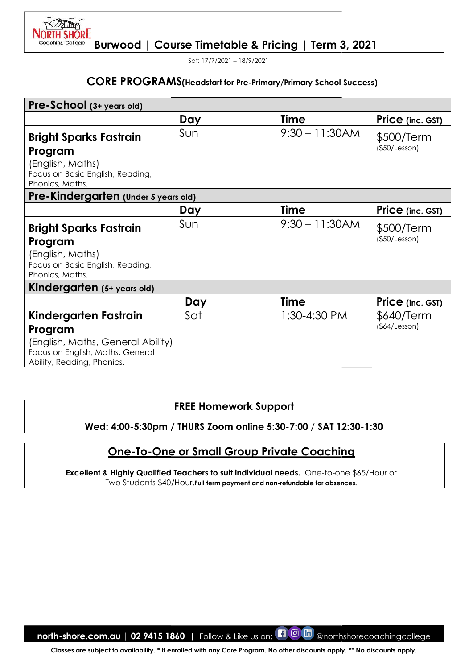Sat: 17/7/2021 – 18/9/2021

**H SHORE** 

#### CORE PROGRAMS(Headstart for Pre-Primary/Primary

| Pre-School (3+ years old)<br>Day<br>Sun<br><b>Bright Sparks Fastrain</b><br>Program<br>(English, Maths)<br>Focus on Basic English, Reading,<br>Phonics, Maths.<br>Pre-Kindergarten (Under 5 years old)<br>Day<br>Sun<br><b>Bright Sparks Fastrain</b><br>Program<br>(English, Maths)<br>Focus on Basic English, Reading,<br>Phonics, Maths.<br>Kindergarten (5+ years old)<br>Sat<br>Kindergarten Fastrain<br>Program<br>(English, Maths, General Ability)<br>Focus on English, Maths, General<br>Ability, Reading, Phonics.<br>Wed: 4:00-5:30pm / THURS Zoom online 5:30-7:00 / SAT 12:30-1:30<br><b>One-To-One or Small Group Private Coaching</b><br><b>Excellent &amp; Highly Qualified Teachers to suit individual needs.</b> One-to-one \$65/Hour or<br>Two Students \$40/Hour. Full term payment and non-refundable for absences. | Day                                         | <b>Time</b><br>$9:30 - 11:30AM$<br><b>Time</b><br>$9:30 - 11:30AM$<br><b>Time</b><br>1:30-4:30 PM | Price (inc. GST)<br>\$500/Term<br>(\$50/Lesson)<br>Price (inc. GST)<br>\$500/Term<br>(\$50/Lesson)<br>Price (inc. GST)<br>\$640/Term<br>(\$4/Lesson) |
|------------------------------------------------------------------------------------------------------------------------------------------------------------------------------------------------------------------------------------------------------------------------------------------------------------------------------------------------------------------------------------------------------------------------------------------------------------------------------------------------------------------------------------------------------------------------------------------------------------------------------------------------------------------------------------------------------------------------------------------------------------------------------------------------------------------------------------------|---------------------------------------------|---------------------------------------------------------------------------------------------------|------------------------------------------------------------------------------------------------------------------------------------------------------|
|                                                                                                                                                                                                                                                                                                                                                                                                                                                                                                                                                                                                                                                                                                                                                                                                                                          |                                             |                                                                                                   |                                                                                                                                                      |
|                                                                                                                                                                                                                                                                                                                                                                                                                                                                                                                                                                                                                                                                                                                                                                                                                                          |                                             |                                                                                                   |                                                                                                                                                      |
|                                                                                                                                                                                                                                                                                                                                                                                                                                                                                                                                                                                                                                                                                                                                                                                                                                          |                                             |                                                                                                   |                                                                                                                                                      |
|                                                                                                                                                                                                                                                                                                                                                                                                                                                                                                                                                                                                                                                                                                                                                                                                                                          |                                             |                                                                                                   |                                                                                                                                                      |
|                                                                                                                                                                                                                                                                                                                                                                                                                                                                                                                                                                                                                                                                                                                                                                                                                                          |                                             |                                                                                                   |                                                                                                                                                      |
|                                                                                                                                                                                                                                                                                                                                                                                                                                                                                                                                                                                                                                                                                                                                                                                                                                          |                                             |                                                                                                   |                                                                                                                                                      |
|                                                                                                                                                                                                                                                                                                                                                                                                                                                                                                                                                                                                                                                                                                                                                                                                                                          |                                             |                                                                                                   |                                                                                                                                                      |
|                                                                                                                                                                                                                                                                                                                                                                                                                                                                                                                                                                                                                                                                                                                                                                                                                                          |                                             |                                                                                                   |                                                                                                                                                      |
|                                                                                                                                                                                                                                                                                                                                                                                                                                                                                                                                                                                                                                                                                                                                                                                                                                          |                                             |                                                                                                   |                                                                                                                                                      |
|                                                                                                                                                                                                                                                                                                                                                                                                                                                                                                                                                                                                                                                                                                                                                                                                                                          |                                             |                                                                                                   |                                                                                                                                                      |
|                                                                                                                                                                                                                                                                                                                                                                                                                                                                                                                                                                                                                                                                                                                                                                                                                                          | <b>FREE Homework Support</b>                |                                                                                                   |                                                                                                                                                      |
|                                                                                                                                                                                                                                                                                                                                                                                                                                                                                                                                                                                                                                                                                                                                                                                                                                          |                                             |                                                                                                   |                                                                                                                                                      |
|                                                                                                                                                                                                                                                                                                                                                                                                                                                                                                                                                                                                                                                                                                                                                                                                                                          |                                             |                                                                                                   |                                                                                                                                                      |
|                                                                                                                                                                                                                                                                                                                                                                                                                                                                                                                                                                                                                                                                                                                                                                                                                                          |                                             |                                                                                                   |                                                                                                                                                      |
|                                                                                                                                                                                                                                                                                                                                                                                                                                                                                                                                                                                                                                                                                                                                                                                                                                          |                                             |                                                                                                   |                                                                                                                                                      |
|                                                                                                                                                                                                                                                                                                                                                                                                                                                                                                                                                                                                                                                                                                                                                                                                                                          |                                             |                                                                                                   |                                                                                                                                                      |
|                                                                                                                                                                                                                                                                                                                                                                                                                                                                                                                                                                                                                                                                                                                                                                                                                                          |                                             |                                                                                                   |                                                                                                                                                      |
| north-shore.com.au   02 9415 1860                                                                                                                                                                                                                                                                                                                                                                                                                                                                                                                                                                                                                                                                                                                                                                                                        | Follow & Like us on: <b>[1]</b> O <b>in</b> |                                                                                                   |                                                                                                                                                      |

# FREE Homework Support

#### Wed: 4:00-5:30pm / 5:30pm / THURS Zoom online 5:30-7:00 / SAT 12:30 12:30-1:30

# One-To-One or Small Group Private Coaching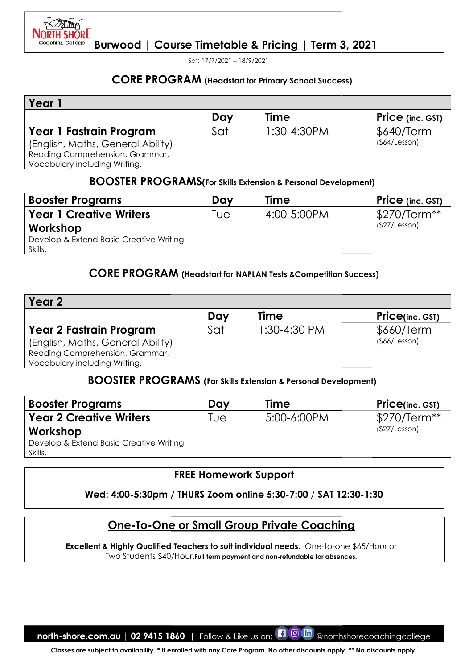

Sat: 17/7/2021 – 18/9/2021

# CORE PROGRAM (Headstart for Primary School Success)

| Year                              |     |               |                         |
|-----------------------------------|-----|---------------|-------------------------|
|                                   | Day | Time          | <b>Price</b> (inc. GST) |
| Year 1 Fastrain Program           | Sat | $1:30-4:30PM$ | \$640/Term              |
| (English, Maths, General Ability) |     |               | (§64/Lesson)            |
| Reading Comprehension, Grammar,   |     |               |                         |
| Vocabulary including Writing.     |     |               |                         |

#### BOOSTER PROGRAMS(For Skills Extension & Personal Development)

| <b>Booster Programs</b>                 | Dav | Time        | <b>Price</b> (inc. GST) |
|-----------------------------------------|-----|-------------|-------------------------|
| <b>Year 1 Creative Writers</b>          | ™e  | 4:00-5:00PM | $$270/Term**$           |
| Workshop                                |     |             | (\$27/Lesson)           |
| Develop & Extend Basic Creative Writing |     |             |                         |
| Skills.                                 |     |             |                         |

# CORE PROGRAM (Headstart for NAPLAN Tests & Competition Success)

| Year 1                                                                                                                           |     |                                                    |                               |
|----------------------------------------------------------------------------------------------------------------------------------|-----|----------------------------------------------------|-------------------------------|
|                                                                                                                                  | Day | <b>Time</b>                                        | Price (inc. GST)              |
| Year 1 Fastrain Program<br>(English, Maths, General Ability)<br>Reading Comprehension, Grammar,<br>Vocabulary including Writing. | Sat | 1:30-4:30PM                                        | \$640/Term<br>(\$4/Lesson)    |
| <b>BOOSTER PROGRAMS</b> (For Skills Extension & Personal Development)                                                            |     |                                                    |                               |
| <b>Booster Programs</b>                                                                                                          | Day | Time                                               | Price (inc. GST)              |
| <b>Year 1 Creative Writers</b>                                                                                                   | Tue | 4:00-5:00PM                                        | \$270/Term**<br>(\$27/Lesson) |
| Workshop<br>Develop & Extend Basic Creative Writing<br>Skills.                                                                   |     |                                                    |                               |
| <b>CORE PROGRAM</b> (Headstart for NAPLAN Tests & Competition Success)                                                           |     |                                                    |                               |
| Year <sub>2</sub>                                                                                                                |     |                                                    |                               |
|                                                                                                                                  | Day | Time                                               | <b>Price(inc. GST)</b>        |
| Year 2 Fastrain Program<br>(English, Maths, General Ability)<br>Reading Comprehension, Grammar,<br>Vocabulary including Writing. | Sat | 1:30-4:30 PM                                       | \$660/Term<br>(§66/Lesson)    |
| <b>BOOSTER PROGRAMS</b> (For Skills Extension & Personal Development)                                                            |     |                                                    |                               |
| <b>Booster Programs</b>                                                                                                          | Day | <b>Time</b>                                        | <b>Price(inc. GST)</b>        |
| <b>Year 2 Creative Writers</b><br>Workshop<br>Develop & Extend Basic Creative Writing<br>Skills.                                 | Tue | 5:00-6:00PM                                        | \$270/Term**<br>(\$27/Lesson) |
|                                                                                                                                  |     | <b>FREE Homework Support</b>                       |                               |
|                                                                                                                                  |     |                                                    |                               |
| Wed: 4:00-5:30pm / THURS Zoom online 5:30-7:00 / SAT 12:30-1:30                                                                  |     |                                                    |                               |
|                                                                                                                                  |     | <u> One-To-One or Small Group Private Coaching</u> |                               |

# BOOSTER PROGRAMS PROGRAMS (For Skills Extension & Personal Development)

| <b>Booster Programs</b>                 | Day | <b>Time</b> | <b>Price</b> (inc. GST) |
|-----------------------------------------|-----|-------------|-------------------------|
| <b>Year 2 Creative Writers</b>          | Tue | 5:00-6:00PM | $$270/Term**$           |
| Workshop                                |     |             | (\$27/Lesson)           |
| Develop & Extend Basic Creative Writing |     |             |                         |
| Skills.                                 |     |             |                         |

#### FREE Homework Support

# Wed: 4:00-5:30pm / 5:30pm / THURS Zoom online 5:30-7:00 / SAT 12:30 12:30-1:30

# One-To-One or Small Group Private Coaching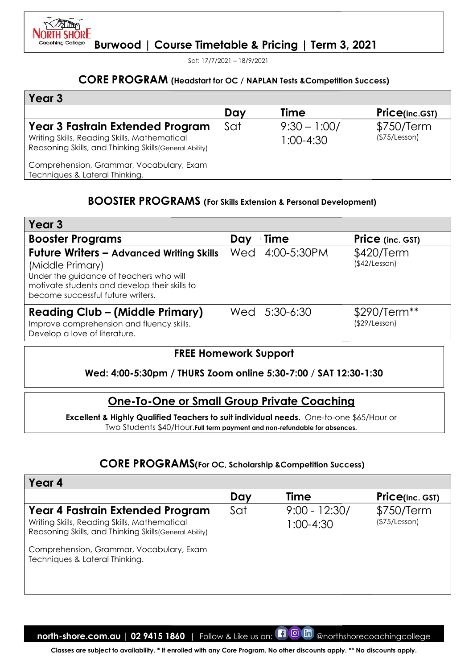

Sat: 17/7/2021 – 18/9/2021

## CORE PROGRAM (Headstart for OC / NAPLAN Tests & Competition Success)

| Year 3                                                                                                                                      |     |                                 |                             |
|---------------------------------------------------------------------------------------------------------------------------------------------|-----|---------------------------------|-----------------------------|
|                                                                                                                                             | Day | <b>Time</b>                     | <b>Price(inc.GST)</b>       |
| Year 3 Fastrain Extended Program<br>Writing Skills, Reading Skills, Mathematical<br>Reasoning Skills, and Thinking Skills (General Ability) | Sat | $9:30 - 1:00/$<br>$1:00 - 4:30$ | \$750/Term<br>(\$75/Lesson) |
| Comprehension, Grammar, Vocabulary, Exam<br>Techniques & Lateral Thinking.                                                                  |     |                                 |                             |

# BOOSTER PROGRAMS PROGRAMS (For Skills Extension & Personal Development)

| Year 3                                                                                                                                                                                               |     |                 |                               |
|------------------------------------------------------------------------------------------------------------------------------------------------------------------------------------------------------|-----|-----------------|-------------------------------|
| <b>Booster Programs</b>                                                                                                                                                                              | Day | Time            | <b>Price</b> (inc. GST)       |
| <b>Future Writers - Advanced Writing Skills</b><br>(Middle Primary)<br>Under the guidance of teachers who will<br>motivate students and develop their skills to<br>become successful future writers. |     | Wed 4:00-5:30PM | \$420/Term<br>(\$42/Lesson)   |
| <b>Reading Club - (Middle Primary)</b><br>Improve comprehension and fluency skills.<br>Develop a love of literature.                                                                                 |     | Wed 5:30-6:30   | \$290/Term**<br>(\$29/Lesson) |

# FREE Homework Support

# Wed: 4:00-5:30pm / 5:30pm / THURS Zoom online 5:30-7:00 / SAT 12:30 12:30-1:30

# One-To-One or Small Group Private Coaching

# CORE PROGRAM CORE PROGRAMS(For OC, Scholarship &Competition Success)

|                                                                                                                                                                                                      |     |                                  | <b>CORE PROGRAM</b> (Headstart for OC / NAPLAN Tests & Competition Success) |
|------------------------------------------------------------------------------------------------------------------------------------------------------------------------------------------------------|-----|----------------------------------|-----------------------------------------------------------------------------|
| Year <sub>3</sub>                                                                                                                                                                                    |     |                                  |                                                                             |
|                                                                                                                                                                                                      | Day | <b>Time</b>                      | <b>Price(inc.GST)</b>                                                       |
| Year 3 Fastrain Extended Program<br>Writing Skills, Reading Skills, Mathematical<br>Reasoning Skills, and Thinking Skills (General Ability)                                                          | Sat | $9:30 - 1:00/$<br>$1:00-4:30$    | \$750/Term<br>(\$75/Lesson)                                                 |
| Comprehension, Grammar, Vocabulary, Exam<br>Techniques & Lateral Thinking.                                                                                                                           |     |                                  |                                                                             |
| <b>BOOSTER PROGRAMS</b> (For Skills Extension & Personal Development)                                                                                                                                |     |                                  |                                                                             |
| Year <sub>3</sub>                                                                                                                                                                                    |     |                                  |                                                                             |
| <b>Booster Programs</b>                                                                                                                                                                              | Day | <b>Time</b>                      | Price (inc. GST)                                                            |
| <b>Future Writers - Advanced Writing Skills</b><br>(Middle Primary)<br>Under the guidance of teachers who will<br>motivate students and develop their skills to<br>become successful future writers. | Wed | 4:00-5:30PM                      | \$420/Term<br>(\$42/Lesson)                                                 |
| <b>Reading Club - (Middle Primary)</b><br>Improve comprehension and fluency skills.<br>Develop a love of literature.                                                                                 |     | Wed 5:30-6:30                    | \$290/Term**<br>(\$29/Lesson)                                               |
| Wed: 4:00-5:30pm / THURS Zoom online 5:30-7:00 / SAT 12:30-1:30<br><b>One-To-One or Small Group Private Coaching</b>                                                                                 |     |                                  |                                                                             |
| Excellent & Highly Qualified Teachers to suit individual needs. One-to-one \$65/Hour or<br>Two Students \$40/Hour. Full term payment and non-refundable for absences.                                |     |                                  |                                                                             |
|                                                                                                                                                                                                      |     |                                  |                                                                             |
| <b>CORE PROGRAMS</b> (For OC, Scholarship & Competition Success)                                                                                                                                     |     |                                  |                                                                             |
| Year 4                                                                                                                                                                                               |     |                                  |                                                                             |
|                                                                                                                                                                                                      | Day | Time                             | <b>Price(inc. GST)</b>                                                      |
| Year 4 Fastrain Extended Program<br>Writing Skills, Reading Skills, Mathematical<br>Reasoning Skills, and Thinking Skills (General Ability)                                                          | Sat | $9:00 - 12:30/$<br>$1:00 - 4:30$ | \$750/Term<br>(\$75/Lesson)                                                 |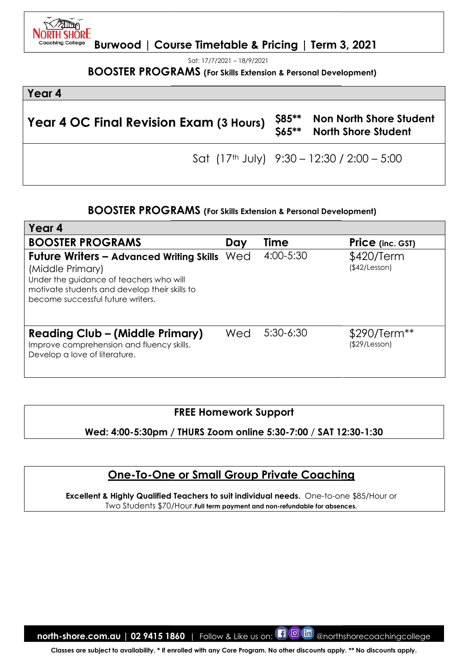Sat: 17/7/2021 – 18/9/2021

#### **BOOSTER PROGRAMS (For**

# Year 4 Year 4 OC Final Revision Exam (3 Hours) \$85\*\* Non North Shore Student North Shore Student Sat (17th July) 9:30 – 12:30 / 2:00 – 5:00 \*\*

## BOOSTER PROGRAMS PROGRAMS (For Skills Extension & Personal Development)

| <b>BOOSTER PROGRAMS</b> (For Skills Extension & Personal Development)                                                                                                                                                      |     |                                  |                                                       |
|----------------------------------------------------------------------------------------------------------------------------------------------------------------------------------------------------------------------------|-----|----------------------------------|-------------------------------------------------------|
| Year 4                                                                                                                                                                                                                     |     |                                  |                                                       |
| <b>Year 4 OC Final Revision Exam (3 Hours)</b>                                                                                                                                                                             |     | \$85**<br>$$65***$               | Non North Shore Student<br><b>North Shore Student</b> |
|                                                                                                                                                                                                                            |     |                                  | Sat $(17th$ July) $9:30 - 12:30 / 2:00 - 5:00$        |
| <b>BOOSTER PROGRAMS</b> (For Skills Extension & Personal Development)                                                                                                                                                      |     |                                  |                                                       |
| Year 4                                                                                                                                                                                                                     |     |                                  |                                                       |
| <b>BOOSTER PROGRAMS</b>                                                                                                                                                                                                    | Day | Time                             | Price (inc. GST)                                      |
| <b>Future Writers - Advanced Writing Skills Wed</b><br>(Middle Primary)<br>Under the guidance of teachers who will<br>motivate students and develop their skills to<br>become successful future writers.                   |     | 4:00-5:30                        | \$420/Term<br>(\$42/Lesson)                           |
| <b>Reading Club – (Middle Primary)</b><br>Improve comprehension and fluency skills.<br>Develop a love of literature.                                                                                                       | Wed | $5:30-6:30$                      | \$290/Term**<br>(\$29/Lesson)                         |
| <b>FREE Homework Support</b><br>Wed: 4:00-5:30pm / THURS Zoom online 5:30-7:00 / SAT 12:30-1:30                                                                                                                            |     |                                  |                                                       |
| <b>One-To-One or Small Group Private Coaching</b><br>Excellent & Highly Qualified Teachers to suit individual needs. One-to-one \$85/Hour or<br>Two Students \$70/Hour. Full term payment and non-refundable for absences. |     |                                  |                                                       |
| north-shore.com.au   02 9415 1860  <br>Classes are subject to availability. * If enrolled with any Core Program. No other discounts apply. ** No discounts apply.                                                          |     | Follow & Like us on: <b>10 m</b> | @northshorecoachingcollege                            |

# FREE Homework Support

# One-To-One or Small Group Private Coaching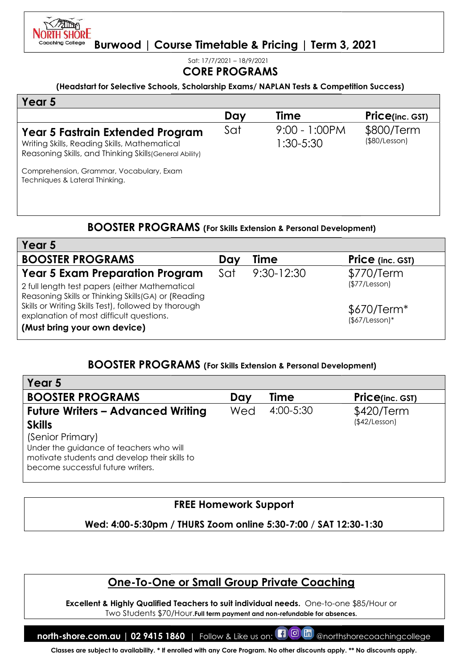

Sat: 17/7/2021 – 18/9/2021

|                                                                                                                                                                       | <b>CORE PROGRAMS</b> |                                  |                                |
|-----------------------------------------------------------------------------------------------------------------------------------------------------------------------|----------------------|----------------------------------|--------------------------------|
| (Headstart for Selective Schools, Scholarship Exams/NAPLAN Tests & Competition Success)                                                                               |                      |                                  |                                |
| Year 5                                                                                                                                                                |                      |                                  |                                |
|                                                                                                                                                                       | Day                  | Time                             | <b>Price(inc. GST)</b>         |
| Year 5 Fastrain Extended Program<br>Writing Skills, Reading Skills, Mathematical<br>Reasoning Skills, and Thinking Skills (General Ability)                           | Sat                  | 9:00 - 1:00PM<br>1:30-5:30       | \$800/Term<br>(\$80/Lesson)    |
| Comprehension, Grammar, Vocabulary, Exam<br>Techniques & Lateral Thinking.                                                                                            |                      |                                  |                                |
| <b>BOOSTER PROGRAMS</b> (For Skills Extension & Personal Development)                                                                                                 |                      |                                  |                                |
| Year 5                                                                                                                                                                |                      |                                  |                                |
| <b>BOOSTER PROGRAMS</b>                                                                                                                                               | Day                  | Time                             | <b>Price</b> (inc. GST)        |
| Year 5 Exam Preparation Program<br>2 full length test papers (either Mathematical<br>Reasoning Skills or Thinking Skills(GA) or (Reading                              | Sat                  | $9:30 - 12:30$                   | \$770/Term<br>(\$77/Lesson)    |
| Skills or Writing Skills Test), followed by thorough<br>explanation of most difficult questions.<br>(Must bring your own device)                                      |                      |                                  | $$670/Term*$<br>$($7/Lesson)*$ |
| <b>BOOSTER PROGRAMS</b> (For Skills Extension & Personal Development)                                                                                                 |                      |                                  |                                |
| Year 5                                                                                                                                                                |                      |                                  |                                |
| <b>BOOSTER PROGRAMS</b>                                                                                                                                               | Day                  | Time                             | <b>Price(inc. GST)</b>         |
| <b>Future Writers - Advanced Writing</b><br><b>Skills</b><br>(Senior Primary)                                                                                         | Wed                  | 4:00-5:30                        | \$420/Term<br>(\$42/Lesson)    |
| Under the guidance of teachers who will<br>motivate students and develop their skills to<br>become successful future writers.                                         |                      |                                  |                                |
|                                                                                                                                                                       |                      | <b>FREE Homework Support</b>     |                                |
| Wed: 4:00-5:30pm / THURS Zoom online 5:30-7:00 / SAT 12:30-1:30                                                                                                       |                      |                                  |                                |
|                                                                                                                                                                       |                      |                                  |                                |
| <b>One-To-One or Small Group Private Coaching</b>                                                                                                                     |                      |                                  |                                |
| Excellent & Highly Qualified Teachers to suit individual needs. One-to-one \$85/Hour or<br>Two Students \$70/Hour. Full term payment and non-refundable for absences. |                      |                                  |                                |
| north-shore.com.au   02 9415 1860                                                                                                                                     |                      | Follow & Like us on: <b>10 6</b> | @northshorecoachingcollege     |

# BOOSTER PROGRAMS (For Skills Extension & Personal Development)

| Day | Time           | <b>Price</b> (inc. GST)        |
|-----|----------------|--------------------------------|
| Sat | $9:30 - 12:30$ | \$770/Term                     |
|     |                | (\$77/Lesson)                  |
|     |                | $$670/Term*$<br>$($7/Lesson)*$ |
|     |                |                                |

# BOOSTER PROGRAMS PROGRAMS (For Skills Extension & Personal Development)

| Year 5                                                                             |     |             |                        |
|------------------------------------------------------------------------------------|-----|-------------|------------------------|
| <b>BOOSTER PROGRAMS</b>                                                            | Dav | <b>Time</b> | <b>Price(inc. GST)</b> |
| <b>Future Writers - Advanced Writing</b>                                           | Wed | 4:00-5:30   | \$420/Term             |
| <b>Skills</b>                                                                      |     |             | (\$42/Lesson)          |
| (Senior Primary)                                                                   |     |             |                        |
| Under the guidance of teachers who will                                            |     |             |                        |
| motivate students and develop their skills to<br>become successful future writers. |     |             |                        |
|                                                                                    |     |             |                        |

# FREE Homework Support

# <u> One-To-One or Small Group Private Coaching</u>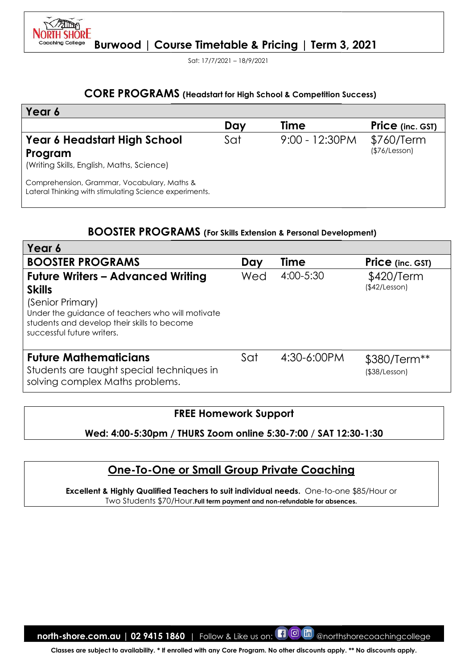

Sat: 17/7/2021 – 18/9/2021

# CORE PROGRAMS (Headstart for High School & Competition Success)

| Year 6                                                                                                |     |                  |                             |
|-------------------------------------------------------------------------------------------------------|-----|------------------|-----------------------------|
|                                                                                                       | Day | Time             | <b>Price</b> (inc. GST)     |
| Year 6 Headstart High School<br>Program<br>(Writing Skills, English, Maths, Science)                  | Sat | $9:00 - 12:30PM$ | \$760/Term<br>(\$76/Lesson) |
| Comprehension, Grammar, Vocabulary, Maths &<br>Lateral Thinking with stimulating Science experiments. |     |                  |                             |

# BOOSTER PROGRAMS (For Skills Extension & Personal Development)

| Year 6<br><b>Time</b><br>Day<br>9:00 - 12:30PM<br>Year 6 Headstart High School<br>Sat<br>(\$76/Lesson)<br>Program<br>(Writing Skills, English, Maths, Science)<br>Comprehension, Grammar, Vocabulary, Maths &<br>Lateral Thinking with stimulating Science experiments.<br><b>BOOSTER PROGRAMS</b> (For Skills Extension & Personal Development)<br>Year 6<br><b>BOOSTER PROGRAMS</b><br>Time<br>Day<br>4:00-5:30<br><b>Future Writers - Advanced Writing</b><br>Wed<br>\$420/Term<br>(\$42/Lesson)<br><b>Skills</b><br>(Senior Primary)<br>Under the guidance of teachers who will motivate<br>students and develop their skills to become<br>successful future writers. | <b>Price</b> (inc. GST)<br>\$760/Term<br>Price (inc. GST) |
|---------------------------------------------------------------------------------------------------------------------------------------------------------------------------------------------------------------------------------------------------------------------------------------------------------------------------------------------------------------------------------------------------------------------------------------------------------------------------------------------------------------------------------------------------------------------------------------------------------------------------------------------------------------------------|-----------------------------------------------------------|
|                                                                                                                                                                                                                                                                                                                                                                                                                                                                                                                                                                                                                                                                           |                                                           |
|                                                                                                                                                                                                                                                                                                                                                                                                                                                                                                                                                                                                                                                                           |                                                           |
|                                                                                                                                                                                                                                                                                                                                                                                                                                                                                                                                                                                                                                                                           |                                                           |
|                                                                                                                                                                                                                                                                                                                                                                                                                                                                                                                                                                                                                                                                           |                                                           |
|                                                                                                                                                                                                                                                                                                                                                                                                                                                                                                                                                                                                                                                                           |                                                           |
|                                                                                                                                                                                                                                                                                                                                                                                                                                                                                                                                                                                                                                                                           |                                                           |
|                                                                                                                                                                                                                                                                                                                                                                                                                                                                                                                                                                                                                                                                           |                                                           |
|                                                                                                                                                                                                                                                                                                                                                                                                                                                                                                                                                                                                                                                                           |                                                           |
| <b>Future Mathematicians</b><br>Sat<br>4:30-6:00PM<br>Students are taught special techniques in<br>$($ \$38/Lesson $)$<br>solving complex Maths problems.                                                                                                                                                                                                                                                                                                                                                                                                                                                                                                                 | \$380/Term**                                              |
| <b>FREE Homework Support</b><br>Wed: 4:00-5:30pm / THURS Zoom online 5:30-7:00 / SAT 12:30-1:30                                                                                                                                                                                                                                                                                                                                                                                                                                                                                                                                                                           |                                                           |
| <b>One-To-One or Small Group Private Coaching</b><br><b>Excellent &amp; Highly Qualified Teachers to suit individual needs.</b> One-to-one \$85/Hour or<br>Two Students \$70/Hour. Full term payment and non-refundable for absences.                                                                                                                                                                                                                                                                                                                                                                                                                                     |                                                           |

# FREE Homework Support

# One-To-One or Small Group Private Coaching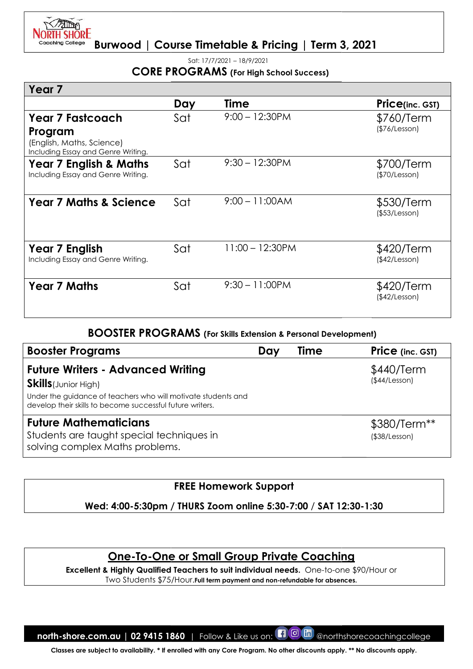

Sat: 17/7/2021 – 18/9/2021

# CORE PROGRAMS (For High School Success)

|                                                                                                                                                                           |     | <b>CORE PROGRAMS</b> (For High School Success)                                                                                                                        |                               |
|---------------------------------------------------------------------------------------------------------------------------------------------------------------------------|-----|-----------------------------------------------------------------------------------------------------------------------------------------------------------------------|-------------------------------|
| Year <sub>7</sub>                                                                                                                                                         |     |                                                                                                                                                                       |                               |
|                                                                                                                                                                           | Day | <b>Time</b>                                                                                                                                                           | <b>Price(inc. GST)</b>        |
| <b>Year 7 Fastcoach</b><br>Program<br>(English, Maths, Science)                                                                                                           | Sat | $9:00 - 12:30PM$                                                                                                                                                      | \$760/Term<br>(\$76/Lesson)   |
| Including Essay and Genre Writing.<br>Year 7 English & Maths<br>Including Essay and Genre Writing.                                                                        | Sat | $9:30 - 12:30PM$                                                                                                                                                      | \$700/Term<br>(\$70/Lesson)   |
| <b>Year 7 Maths &amp; Science</b>                                                                                                                                         | Sat | $9:00 - 11:00AM$                                                                                                                                                      | \$530/Term<br>(\$53/Lesson)   |
| Year 7 English<br>Including Essay and Genre Writing.                                                                                                                      | Sat | $11:00 - 12:30PM$                                                                                                                                                     | \$420/Term<br>(\$42/Lesson)   |
| <b>Year 7 Maths</b>                                                                                                                                                       | Sat | $9:30 - 11:00PM$                                                                                                                                                      | \$420/Term<br>(\$42/Lesson)   |
|                                                                                                                                                                           |     | <b>BOOSTER PROGRAMS</b> (For Skills Extension & Personal Development)                                                                                                 |                               |
| <b>Booster Programs</b>                                                                                                                                                   |     | Time<br>Day                                                                                                                                                           | Price (inc. GST)              |
| <b>Future Writers - Advanced Writing</b><br><b>Skills</b> (Junior High)<br>Under the guidance of teachers who will motivate students and                                  |     |                                                                                                                                                                       | \$440/Term<br>(\$44/Lesson)   |
| develop their skills to become successful future writers.<br><b>Future Mathematicians</b><br>Students are taught special techniques in<br>solving complex Maths problems. |     |                                                                                                                                                                       | \$380/Term**<br>(\$38/Lesson) |
|                                                                                                                                                                           |     | <b>FREE Homework Support</b>                                                                                                                                          |                               |
|                                                                                                                                                                           |     | Wed: 4:00-5:30pm / THURS Zoom online 5:30-7:00 / SAT 12:30-1:30                                                                                                       |                               |
|                                                                                                                                                                           |     |                                                                                                                                                                       |                               |
|                                                                                                                                                                           |     | <u>One-To-One or Small Group Private Coaching</u>                                                                                                                     |                               |
|                                                                                                                                                                           |     | Excellent & Highly Qualified Teachers to suit individual needs. One-to-one \$90/Hour or<br>Two Students \$75/Hour. Full term payment and non-refundable for absences. |                               |
|                                                                                                                                                                           |     |                                                                                                                                                                       |                               |
| north-shore.com.au   02 9415 1860   Follow & Like us on:                                                                                                                  |     | $\blacksquare$ $\blacksquare$ $\blacksquare$                                                                                                                          | @northshorecoachingcollege    |
|                                                                                                                                                                           |     | Classes are subject to availability. * If enrolled with any Core Program. No other discounts apply. ** No discounts apply.                                            |                               |

| <b>Booster Programs</b>                                                                                                                                                                               | Day | Time | <b>Price</b> (inc. GST)             |
|-------------------------------------------------------------------------------------------------------------------------------------------------------------------------------------------------------|-----|------|-------------------------------------|
| <b>Future Writers - Advanced Writing</b><br><b>Skills</b> (Junior High)<br>Under the guidance of teachers who will motivate students and<br>develop their skills to become successful future writers. |     |      | \$440/Term<br>(\$44/Lesson)         |
| <b>Future Mathematicians</b><br>Students are taught special techniques in<br>solving complex Maths problems.                                                                                          |     |      | \$380/Term**<br>$($ \$38/Lesson $)$ |

# FREE Homework Support

# One-To-One or Small Group Private Coaching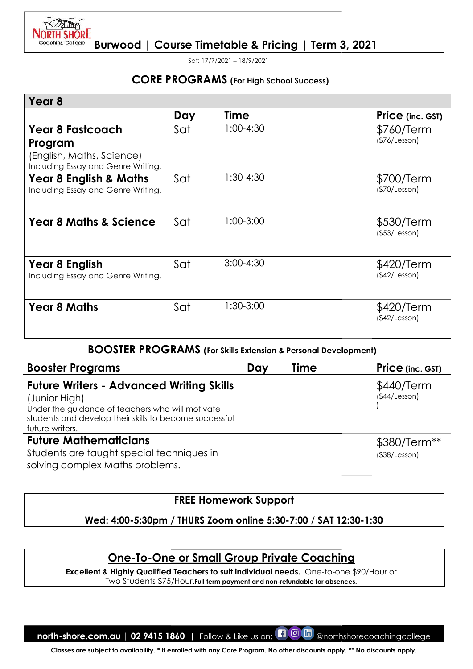

Sat: 17/7/2021 – 18/9/2021

# CORE PROGRAMS (For High School Success)

| Year <sub>8</sub>                                                                                                                                                                                 |     |                                                                       |                                     |
|---------------------------------------------------------------------------------------------------------------------------------------------------------------------------------------------------|-----|-----------------------------------------------------------------------|-------------------------------------|
|                                                                                                                                                                                                   |     |                                                                       |                                     |
|                                                                                                                                                                                                   | Day | Time                                                                  | Price (inc. GST)                    |
| <b>Year 8 Fastcoach</b><br>Program<br>(English, Maths, Science)<br>Including Essay and Genre Writing.                                                                                             | Sat | $1:00-4:30$                                                           | \$760/Term<br>(\$76/Lesson)         |
| Year 8 English & Maths<br>Including Essay and Genre Writing.                                                                                                                                      | Sat | 1:30-4:30                                                             | \$700/Term<br>(\$70/Lesson)         |
| <b>Year 8 Maths &amp; Science</b>                                                                                                                                                                 | Sat | 1:00-3:00                                                             | \$530/Term<br>(\$53/Lesson)         |
| Year 8 English<br>Including Essay and Genre Writing.                                                                                                                                              | Sat | $3:00-4:30$                                                           | \$420/Term<br>(\$42/Lesson)         |
| <b>Year 8 Maths</b>                                                                                                                                                                               | Sat | 1:30-3:00                                                             | \$420/Term<br>(\$42/Lesson)         |
|                                                                                                                                                                                                   |     | <b>BOOSTER PROGRAMS</b> (For Skills Extension & Personal Development) |                                     |
| <b>Booster Programs</b>                                                                                                                                                                           |     | <b>Time</b><br>Day                                                    | Price (inc. GST)                    |
| <b>Future Writers - Advanced Writing Skills</b><br>(Junior High)<br>Under the guidance of teachers who will motivate<br>students and develop their skills to become successful<br>future writers. |     |                                                                       | \$440/Term<br>(\$44/Lesson)         |
| <b>Future Mathematicians</b><br>Students are taught special techniques in                                                                                                                         |     |                                                                       | \$380/Term**<br>$($ \$38/Lesson $)$ |
| solving complex Maths problems.                                                                                                                                                                   |     |                                                                       |                                     |
|                                                                                                                                                                                                   |     | <b>FREE Homework Support</b>                                          |                                     |
|                                                                                                                                                                                                   |     | Wed: 4:00-5:30pm / THURS Zoom online 5:30-7:00 / SAT 12:30-1:30       |                                     |

#### BOOSTER PROGRAMS (For Skills Extension & Personal Development)

| <b>Booster Programs</b>                                                                                                                                                                           | Dav | <b>Time</b> | <b>Price</b> (inc. GST)       |
|---------------------------------------------------------------------------------------------------------------------------------------------------------------------------------------------------|-----|-------------|-------------------------------|
| <b>Future Writers - Advanced Writing Skills</b><br>(Junior High)<br>Under the guidance of teachers who will motivate<br>students and develop their skills to become successful<br>future writers. |     |             | \$440/Term<br>(\$44/Lesson)   |
| <b>Future Mathematicians</b><br>Students are taught special techniques in<br>solving complex Maths problems.                                                                                      |     |             | \$380/Term**<br>(\$38/Lesson) |

# FREE Homework Support

#### Wed: 4:00-5:30pm / 5:30pm / THURS Zoom online 5:30-7:00 / SAT 12:30 12:30-1:30

# One-To-One or Small Group Private Coaching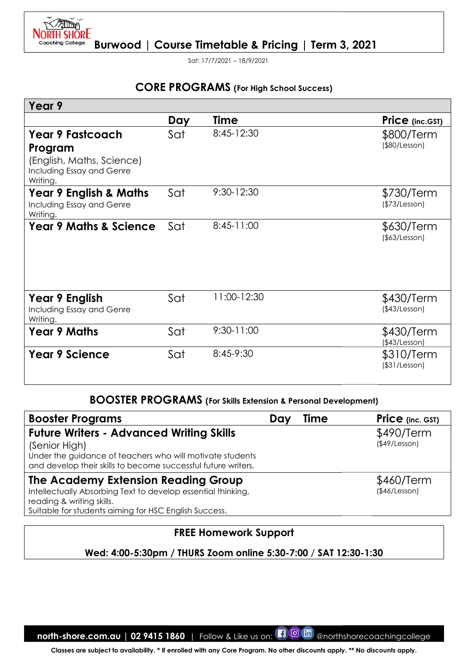

Sat: 17/7/2021 – 18/9/2021

# CORE PROGRAMS (For High School Success)

| Day | <b>Time</b>                                                     |                                                                                                                                                                                                                                                                                                                                                      |                                     | Price (inc.GST)                                                       |
|-----|-----------------------------------------------------------------|------------------------------------------------------------------------------------------------------------------------------------------------------------------------------------------------------------------------------------------------------------------------------------------------------------------------------------------------------|-------------------------------------|-----------------------------------------------------------------------|
| Sat | 8:45-12:30                                                      |                                                                                                                                                                                                                                                                                                                                                      |                                     | \$800/Term<br>(\$80/Lesson)                                           |
| Sat | 9:30-12:30                                                      |                                                                                                                                                                                                                                                                                                                                                      |                                     | \$730/Term<br>(\$73/Lesson)                                           |
| Sat | 8:45-11:00                                                      |                                                                                                                                                                                                                                                                                                                                                      |                                     | \$630/Term<br>(\$63/Lesson)                                           |
| Sat | 11:00-12:30                                                     |                                                                                                                                                                                                                                                                                                                                                      |                                     | \$430/Term<br>(\$43/Lesson)                                           |
| Sat | 9:30-11:00                                                      |                                                                                                                                                                                                                                                                                                                                                      |                                     | \$430/Term<br>$($ \$43/Lesson $)$                                     |
| Sat | 8:45-9:30                                                       |                                                                                                                                                                                                                                                                                                                                                      |                                     | \$310/Term<br>$($ \$31/Lesson $)$                                     |
|     |                                                                 |                                                                                                                                                                                                                                                                                                                                                      |                                     |                                                                       |
|     |                                                                 |                                                                                                                                                                                                                                                                                                                                                      | Time                                | Price (inc. GST)                                                      |
|     |                                                                 |                                                                                                                                                                                                                                                                                                                                                      |                                     | \$490/Term<br>(\$49/Lesson)<br>\$460/Term                             |
|     |                                                                 |                                                                                                                                                                                                                                                                                                                                                      |                                     | (\$46/Lesson)                                                         |
|     |                                                                 |                                                                                                                                                                                                                                                                                                                                                      |                                     |                                                                       |
|     | Wed: 4:00-5:30pm / THURS Zoom online 5:30-7:00 / SAT 12:30-1:30 |                                                                                                                                                                                                                                                                                                                                                      |                                     |                                                                       |
|     |                                                                 | <b>Future Writers - Advanced Writing Skills</b><br>Under the guidance of teachers who will motivate students<br>and develop their skills to become successful future writers.<br><b>The Academy Extension Reading Group</b><br>Intellectually Absorbing Text to develop essential thinking,<br>Suitable for students aiming for HSC English Success. | Day<br><b>FREE Homework Support</b> | <b>BOOSTER PROGRAMS</b> (For Skills Extension & Personal Development) |

#### BOOSTER PROGRAMS (For Skills Extension & Personal Development)

| <b>Booster Programs</b>                                                                                                                                                                        | Day | Time | <b>Price</b> (inc. GST)           |
|------------------------------------------------------------------------------------------------------------------------------------------------------------------------------------------------|-----|------|-----------------------------------|
| <b>Future Writers - Advanced Writing Skills</b><br>(Senior High)<br>Under the guidance of teachers who will motivate students<br>and develop their skills to become successful future writers. |     |      | \$490/Term<br>$($ \$49/Lesson $)$ |
| The Academy Extension Reading Group<br>Intellectually Absorbing Text to develop essential thinking,<br>reading & writing skills.<br>Suitable for students aiming for HSC English Success.      |     |      | \$460/Term<br>(\$46/Lesson)       |

# FREE Homework Support

# Wed: 4:00-5:30pm / 5:30pm / THURS Zoom online 5:30-7:00 / SAT 12:30 12:30-1:30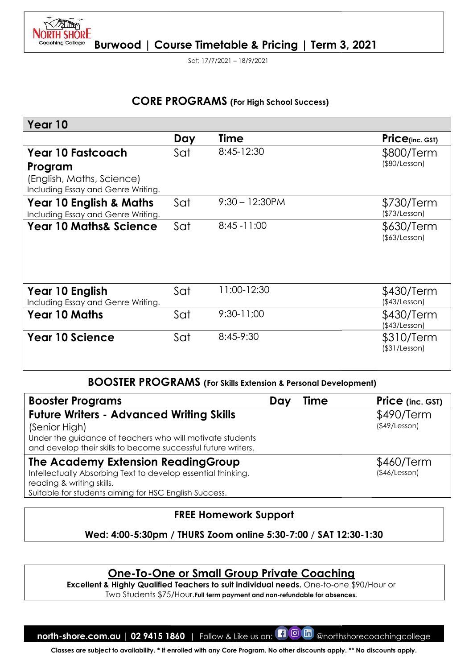

Sat: 17/7/2021 – 18/9/2021

# CORE PROGRAMS (For High School Success)

|                                                                                                                                                                                                |     | <b>CORE PROGRAMS</b> (For High School Success)                                                                                  |             |                                   |
|------------------------------------------------------------------------------------------------------------------------------------------------------------------------------------------------|-----|---------------------------------------------------------------------------------------------------------------------------------|-------------|-----------------------------------|
| Year 10                                                                                                                                                                                        |     |                                                                                                                                 |             |                                   |
|                                                                                                                                                                                                | Day | <b>Time</b>                                                                                                                     |             | $Price_{(inc. GST)}$              |
| <b>Year 10 Fastcoach</b><br>Program<br>(English, Maths, Science)                                                                                                                               | Sat | 8:45-12:30                                                                                                                      |             | \$800/Term<br>(\$80/Lesson)       |
| Including Essay and Genre Writing.<br><b>Year 10 English &amp; Maths</b><br>Including Essay and Genre Writing.                                                                                 | Sat | $9:30 - 12:30PM$                                                                                                                |             | \$730/Term<br>(\$73/Lesson)       |
| <b>Year 10 Maths&amp; Science</b>                                                                                                                                                              | Sat | $8:45 - 11:00$                                                                                                                  |             | \$630/Term<br>$($ \$63/Lesson $)$ |
| Year 10 English<br>Including Essay and Genre Writing.                                                                                                                                          | Sat | 11:00-12:30                                                                                                                     |             | \$430/Term<br>(\$43/Lesson)       |
| <b>Year 10 Maths</b>                                                                                                                                                                           | Sat | 9:30-11:00                                                                                                                      |             | \$430/Term<br>(\$43/Lesson)       |
| <b>Year 10 Science</b>                                                                                                                                                                         | Sat | 8:45-9:30                                                                                                                       |             | \$310/Term<br>$($ \$31/Lesson $)$ |
|                                                                                                                                                                                                |     | <b>BOOSTER PROGRAMS</b> (For Skills Extension & Personal Development)                                                           |             |                                   |
| <b>Booster Programs</b>                                                                                                                                                                        |     | Day                                                                                                                             | <b>Time</b> | <b>Price</b> (inc. GST)           |
| <b>Future Writers - Advanced Writing Skills</b><br>(Senior High)<br>Under the guidance of teachers who will motivate students<br>and develop their skills to become successful future writers. |     |                                                                                                                                 |             | \$490/Term<br>(\$49/Lesson)       |
| The Academy Extension ReadingGroup<br>Intellectually Absorbing Text to develop essential thinking,<br>reading & writing skills.<br>Suitable for students aiming for HSC English Success.       |     |                                                                                                                                 |             | \$460/Term<br>(\$46/Lesson)       |
|                                                                                                                                                                                                |     | <b>FREE Homework Support</b>                                                                                                    |             |                                   |
|                                                                                                                                                                                                |     | Wed: 4:00-5:30pm / THURS Zoom online 5:30-7:00 / SAT 12:30-1:30                                                                 |             |                                   |
| Excellent & Highly Qualified Teachers to suit individual needs. One-to-one \$90/Hour or                                                                                                        |     | <u>One-To-One or Small Group Private Coaching</u><br>Two Students \$75/Hour. Full term payment and non-refundable for absences. |             |                                   |
| north-shore.com.au   02 9415 1860   Follow & Like us on: $\Box$ @ the @northshorecoachingcollege                                                                                               |     |                                                                                                                                 |             |                                   |
| Classes are subject to availability. * If enrolled with any Core Program. No other discounts apply. ** No discounts apply.                                                                     |     |                                                                                                                                 |             |                                   |

#### BOOSTER PROGRAMS PROGRAMS (For Skills Extension & Personal Development)

| <b>Booster Programs</b>                                                                                                                                                                        | Dav | Time | <b>Price</b> (inc. GST)           |
|------------------------------------------------------------------------------------------------------------------------------------------------------------------------------------------------|-----|------|-----------------------------------|
| <b>Future Writers - Advanced Writing Skills</b><br>(Senior High)<br>Under the guidance of teachers who will motivate students<br>and develop their skills to become successful future writers. |     |      | \$490/Term<br>$($ \$49/Lesson $)$ |
| The Academy Extension Reading Group<br>Intellectually Absorbing Text to develop essential thinking,<br>reading & writing skills.                                                               |     |      | \$460/Term<br>(\$46/Lesson)       |
| Suitable for students aiming for HSC English Success.                                                                                                                                          |     |      |                                   |

# FREE Homework Support

# One-To-One or Small Group Private Coaching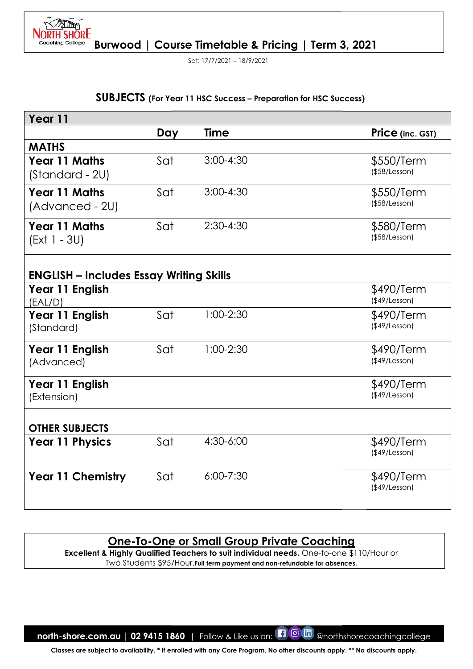

Sat: 17/7/2021 – 18/9/2021

# SUBJECTS (For Year 11 HSC Success - Preparation for HSC Success)

| Year 11                                        |     |                                                                                                                                               |                             |
|------------------------------------------------|-----|-----------------------------------------------------------------------------------------------------------------------------------------------|-----------------------------|
|                                                | Day | Time                                                                                                                                          | <b>Price</b> (inc. GST)     |
| <b>MATHS</b>                                   |     |                                                                                                                                               |                             |
| <b>Year 11 Maths</b>                           | Sat | $3:00 - 4:30$                                                                                                                                 | \$550/Term                  |
| (Standard - 2U)                                |     |                                                                                                                                               | (\$58/Lesson)               |
| <b>Year 11 Maths</b>                           | Sat | $3:00-4:30$                                                                                                                                   | \$550/Term                  |
| (Advanced - 2U)                                |     |                                                                                                                                               | $($ \$58/Lesson $)$         |
| <b>Year 11 Maths</b>                           | Sat | $2:30-4:30$                                                                                                                                   | \$580/Term                  |
| (Ext 1 - 3U)                                   |     |                                                                                                                                               | (\$58/Lesson)               |
|                                                |     |                                                                                                                                               |                             |
| <b>ENGLISH - Includes Essay Writing Skills</b> |     |                                                                                                                                               |                             |
| Year 11 English<br>(EAL/D)                     |     |                                                                                                                                               | \$490/Term<br>(\$49/Lesson) |
| Year 11 English                                | Sat | 1:00-2:30                                                                                                                                     | \$490/Term                  |
| (Standard)                                     |     |                                                                                                                                               | (\$49/Lesson)               |
| Year 11 English                                | Sat | 1:00-2:30                                                                                                                                     | \$490/Term                  |
| (Advanced)                                     |     |                                                                                                                                               | (\$49/Lesson)               |
| Year 11 English                                |     |                                                                                                                                               | \$490/Term                  |
| (Extension)                                    |     |                                                                                                                                               | $($ \$49/Lesson $)$         |
| <b>OTHER SUBJECTS</b>                          |     |                                                                                                                                               |                             |
| <b>Year 11 Physics</b>                         | Sat | 4:30-6:00                                                                                                                                     | \$490/Term                  |
|                                                |     |                                                                                                                                               | (\$49/Lesson)               |
| <b>Year 11 Chemistry</b>                       | Sat | $6:00 - 7:30$                                                                                                                                 | \$490/Term                  |
|                                                |     |                                                                                                                                               | (\$49/Lesson)               |
|                                                |     |                                                                                                                                               |                             |
|                                                |     |                                                                                                                                               |                             |
|                                                |     | <u>One-To-One or Small Group Private Coaching</u><br>Excellent & Highly Qualified Teachers to suit individual needs. One-to-one \$110/Hour or |                             |
|                                                |     |                                                                                                                                               |                             |

# One-To-One or Small Group Private Coaching